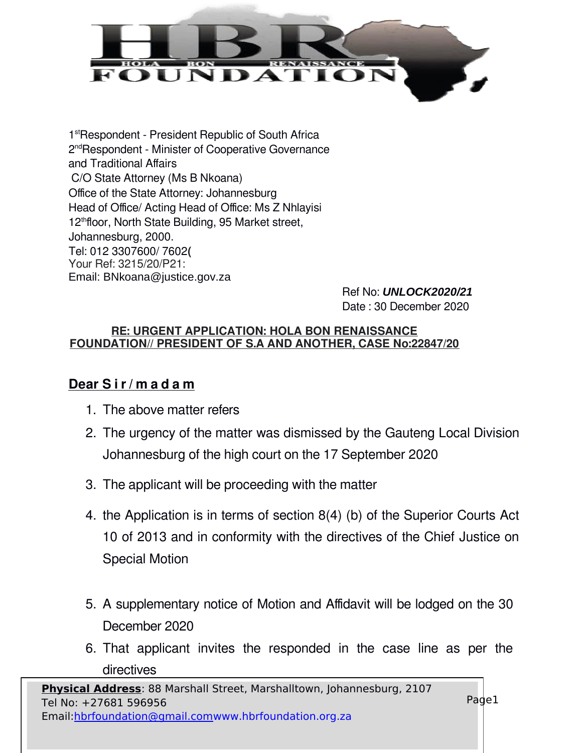

1<sup>st</sup>Respondent - President Republic of South Africa 2<sup>nd</sup>Respondent - Minister of Cooperative Governance and Traditional Afairs C/O State Attorney (Ms B Nkoana) Office of the State Attorney: Johannesburg Head of Office/ Acting Head of Office: Ms Z Nhlayisi 12<sup>th</sup>floor, North State Building, 95 Market street, Johannesburg, 2000. Telf 012 3307600/ 7602**(** Your Ref: 3215/20/P21: Email: BNkoana@justice.gov.za

> Ref No: **UNLOCK2020/21** Date: 30 December 2020

## **RE: URGENT APPLICATION: HOLA BON RENAISSANCE FOUNDATION// PRESIDENT OF S.A AND ANOTHER, CASE No:22847/20**

## **Dear S i r / m a d a m**

- 1. The above matter refers
- 2. The urgency of the matter was dismissed by the Gauteng Local Division Johannesburg of the high court on the 17 September 2020
- 3. The applicant will be proceeding with the matter
- 4. the Application is in terms of section 8(4) (b) of the Superior Courts Act 10 of 2013 and in conformity with the directives of the Chief Justice on Special Motion
- 5. A supplementary notice of Motion and Affidavit will be lodged on the 30 December 2020
- 6. That applicant invites the responded in the case line as per the directives

Pade1 1**of3**